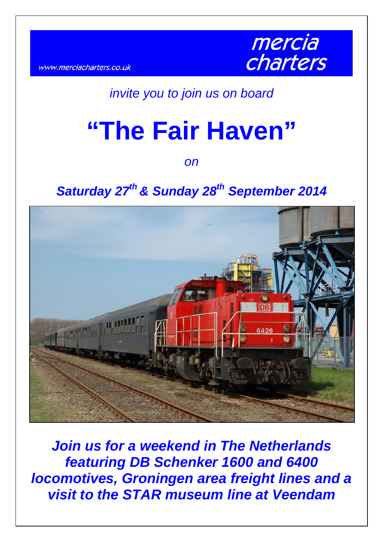www.merciacharters.co.uk



## *invite you to join us on board*

# **"The Fair Haven"**

*on* 

## Saturday 27<sup>th</sup> & Sunday 28<sup>th</sup> September 2014



*Join us for a weekend in The Netherlands featuring DB Schenker 1600 and 6400 locomotives, Groningen area freight lines and a visit to the STAR museum line at Veendam*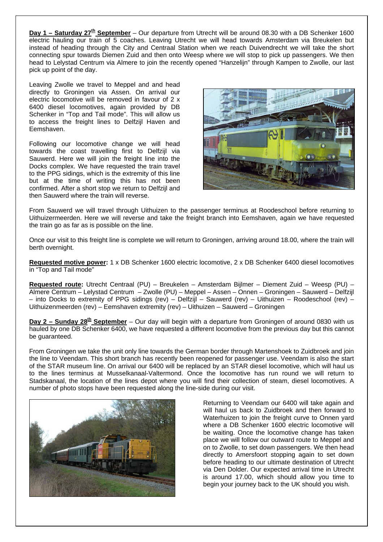**Day 1 – Saturday 27<sup>th</sup> September** – Our departure from Utrecht will be around 08.30 with a DB Schenker 1600 electric hauling our train of 5 coaches. Leaving Utrecht we will head towards Amsterdam via Breukelen but instead of heading through the City and Centraal Station when we reach Duivendrecht we will take the short connecting spur towards Diemen Zuid and then onto Weesp where we will stop to pick up passengers. We then head to Lelystad Centrum via Almere to join the recently opened "Hanzelijn" through Kampen to Zwolle, our last pick up point of the day.

Leaving Zwolle we travel to Meppel and and head directly to Groningen via Assen. On arrival our electric locomotive will be removed in favour of 2 x 6400 diesel locomotives, again provided by DB Schenker in "Top and Tail mode". This will allow us to access the freight lines to Delfzijl Haven and Eemshaven.

Following our locomotive change we will head towards the coast travelling first to Delfzijl via Sauwerd. Here we will join the freight line into the Docks complex. We have requested the train travel to the PPG sidings, which is the extremity of this line but at the time of writing this has not been confirmed. After a short stop we return to Delfzijl and then Sauwerd where the train will reverse.



From Sauwerd we will travel through Uithuizen to the passenger terminus at Roodeschool before returning to Uithuizermeerden. Here we will reverse and take the freight branch into Eemshaven, again we have requested the train go as far as is possible on the line.

Once our visit to this freight line is complete we will return to Groningen, arriving around 18.00, where the train will berth overnight.

**Requested motive power:** 1 x DB Schenker 1600 electric locomotive, 2 x DB Schenker 6400 diesel locomotives in "Top and Tail mode"

**Requested route:** Utrecht Centraal (PU) – Breukelen – Amsterdam Bijlmer – Diement Zuid – Weesp (PU) – Almere Centrum – Lelystad Centrum – Zwolle (PU) – Meppel – Assen – Onnen – Groningen – Sauwerd – Delfzijl – into Docks to extremity of PPG sidings (rev) – Delfzijl – Sauwerd (rev) – Uithuizen – Roodeschool (rev) – Uithuizenmeerden (rev) – Eemshaven extremity (rev) – Uithuizen – Sauwerd – Groningen

**Day 2 – Sunday 28th September** – Our day will begin with a departure from Groningen of around 0830 with us hauled by one DB Schenker 6400, we have requested a different locomotive from the previous day but this cannot be guaranteed.

From Groningen we take the unit only line towards the German border through Martenshoek to Zuidbroek and join the line to Veendam. This short branch has recently been reopened for passenger use. Veendam is also the start of the STAR museum line. On arrival our 6400 will be replaced by an STAR diesel locomotive, which will haul us to the lines terminus at Musselkanaal-Valtermond. Once the locomotive has run round we will return to Stadskanaal, the location of the lines depot where you will find their collection of steam, diesel locomotives. A number of photo stops have been requested along the line-side during our visit.



Returning to Veendam our 6400 will take again and will haul us back to Zuidbroek and then forward to Waterhuizen to join the freight curve to Onnen yard where a DB Schenker 1600 electric locomotive will be waiting. Once the locomotive change has taken place we will follow our outward route to Meppel and on to Zwolle, to set down passengers. We then head directly to Amersfoort stopping again to set down before heading to our ultimate destination of Utrecht via Den Dolder. Our expected arrival time in Utrecht is around 17.00, which should allow you time to begin your journey back to the UK should you wish.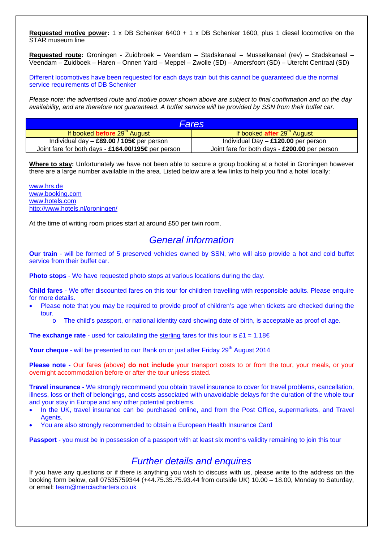**Requested motive power:** 1 x DB Schenker 6400 + 1 x DB Schenker 1600, plus 1 diesel locomotive on the STAR museum line

**Requested route:** Groningen - Zuidbroek – Veendam – Stadskanaal – Musselkanaal (rev) – Stadskanaal – Veendam – Zuidboek – Haren – Onnen Yard – Meppel – Zwolle (SD) – Amersfoort (SD) – Utercht Centraal (SD)

Different locomotives have been requested for each days train but this cannot be guaranteed due the normal service requirements of DB Schenker

*Please note: the advertised route and motive power shown above are subject to final confirmation and on the day availability, and are therefore not guaranteed. A buffet service will be provided by SSN from their buffet car.*

| Fares                                              |                                               |  |  |  |
|----------------------------------------------------|-----------------------------------------------|--|--|--|
| If booked before 29 <sup>th</sup> August           | If booked after $29th$ August                 |  |  |  |
| Individual day $-$ £89.00 / 105€ per person        | Individual Day $-$ £120.00 per person         |  |  |  |
| Joint fare for both days - £164.00/195€ per person | Joint fare for both days - £200.00 per person |  |  |  |

**Where to stay:** Unfortunately we have not been able to secure a group booking at a hotel in Groningen however there are a large number available in the area. Listed below are a few links to help you find a hotel locally:

[www.hrs.de](http://www.hrs.de/) [www.booking.com](http://www.booking.com/) [www.hotels.com](http://www.hotels.com/) <http://www.hotels.nl/groningen/>

At the time of writing room prices start at around £50 per twin room.

### *General information*

**Our train** - will be formed of 5 preserved vehicles owned by SSN, who will also provide a hot and cold buffet service from their buffet car.

**Photo stops** - We have requested photo stops at various locations during the day.

**Child fares** - We offer discounted fares on this tour for children travelling with responsible adults. Please enquire for more details.

- Please note that you may be required to provide proof of children's age when tickets are checked during the tour.
	- o The child's passport, or national identity card showing date of birth, is acceptable as proof of age.

**The exchange rate** - used for calculating the sterling fares for this tour is  $£1 = 1.18€$ 

**Your cheque** - will be presented to our Bank on or just after Friday 29<sup>th</sup> August 2014

**Please note** - Our fares (above) **do not include** your transport costs to or from the tour, your meals, or your overnight accommodation before or after the tour unless stated.

**Travel insurance** - We strongly recommend you obtain travel insurance to cover for travel problems, cancellation, illness, loss or theft of belongings, and costs associated with unavoidable delays for the duration of the whole tour and your stay in Europe and any other potential problems.

- In the UK, travel insurance can be purchased online, and from the Post Office, supermarkets, and Travel Agents.
- You are also strongly recommended to obtain a European Health Insurance Card

**Passport** - you must be in possession of a passport with at least six months validity remaining to join this tour

### *Further details and enquires*

If you have any questions or if there is anything you wish to discuss with us, please write to the address on the booking form below, call 07535759344 (+44.75.35.75.93.44 from outside UK) 10.00 – 18.00, Monday to Saturday, or email: [team@merciacharters.co.uk](mailto:team@merciacharters.co.uk)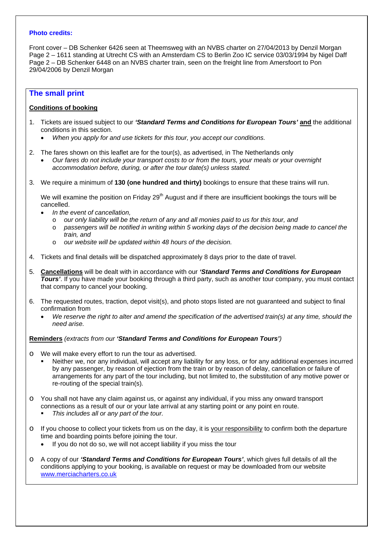### **Photo credits:**

Front cover – DB Schenker 6426 seen at Theemsweg with an NVBS charter on 27/04/2013 by Denzil Morgan Page 2 – 1611 standing at Utrecht CS with an Amsterdam CS to Berlin Zoo IC service 03/03/1994 by Nigel Daff Page 2 – DB Schenker 6448 on an NVBS charter train, seen on the freight line from Amersfoort to Pon 29/04/2006 by Denzil Morgan

### **The small print**

### **Conditions of booking**

- 1. Tickets are issued subject to our *'Standard Terms and Conditions for European Tours'* **and** the additional conditions in this section.
	- *When you apply for and use tickets for this tour, you accept our conditions.*
- 2. The fares shown on this leaflet are for the tour(s), as advertised, in The Netherlands only
	- *Our fares do not include your transport costs to or from the tours, your meals or your overnight accommodation before, during, or after the tour date(s) unless stated.*
- 3. We require a minimum of **130 (one hundred and thirty)** bookings to ensure that these trains will run.

We will examine the position on Friday 29<sup>th</sup> August and if there are insufficient bookings the tours will be cancelled.

- *In the event of cancellation,* 
	- o *our only liability will be the return of any and all monies paid to us for this tour, and*
	- o *passengers will be notified in writing within 5 working days of the decision being made to cancel the train, and*
	- o *our website will be updated within 48 hours of the decision.*
- 4. Tickets and final details will be dispatched approximately 8 days prior to the date of travel.
- 5. **Cancellations** will be dealt with in accordance with our *'Standard Terms and Conditions for European Tours'*. If you have made your booking through a third party, such as another tour company, you must contact that company to cancel your booking.
- 6. The requested routes, traction, depot visit(s), and photo stops listed are not guaranteed and subject to final confirmation from
	- *We reserve the right to alter and amend the specification of the advertised train(s) at any time, should the need arise.*

### **Reminders** *(extracts from our 'Standard Terms and Conditions for European Tours')*

- o We will make every effort to run the tour as advertised.
	- Neither we, nor any individual, will accept any liability for any loss, or for any additional expenses incurred by any passenger, by reason of ejection from the train or by reason of delay, cancellation or failure of arrangements for any part of the tour including, but not limited to, the substitution of any motive power or re-routing of the special train(s)*.*
- o You shall not have any claim against us, or against any individual, if you miss any onward transport connections as a result of our or your late arrival at any starting point or any point en route.
	- *This includes all or any part of the tour.*
- o If you choose to collect your tickets from us on the day, it is your responsibility to confirm both the departure time and boarding points before joining the tour.
	- If you do not do so, we will not accept liability if you miss the tour
- o A copy of our *'Standard Terms and Conditions for European Tours'*, which gives full details of all the conditions applying to your booking, is available on request or may be downloaded from our website [www.merciacharters.co.uk](http://www.merciacharters.co.uk/)